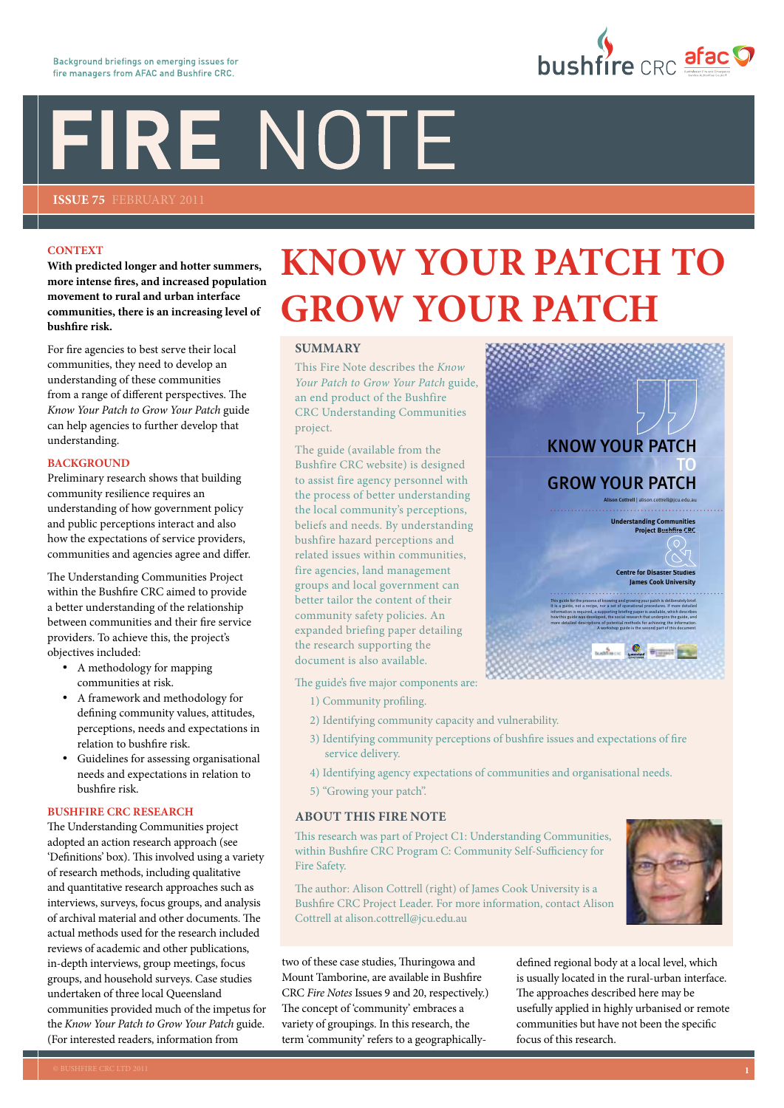# FIRE NOTE

**Issue 75** FEBRUARY 2011

#### **CONTEXT**

**With predicted longer and hotter summers, more intense fires, and increased population movement to rural and urban interface communities, there is an increasing level of bushfire risk.**

For fire agencies to best serve their local communities, they need to develop an understanding of these communities from a range of different perspectives. The *Know Your Patch to Grow Your Patch* guide can help agencies to further develop that understanding.

#### **BACKGROUND**

Preliminary research shows that building community resilience requires an understanding of how government policy and public perceptions interact and also how the expectations of service providers, communities and agencies agree and differ.

The Understanding Communities Project within the Bushfire CRC aimed to provide a better understanding of the relationship between communities and their fire service providers. To achieve this, the project's objectives included:

- • A methodology for mapping communities at risk.
- A framework and methodology for defining community values, attitudes, perceptions, needs and expectations in relation to bushfire risk.
- Guidelines for assessing organisational needs and expectations in relation to bushfire risk.

### **BUSHFIRE CRC RESEARCH**

The Understanding Communities project adopted an action research approach (see 'Definitions' box). This involved using a variety of research methods, including qualitative and quantitative research approaches such as interviews, surveys, focus groups, and analysis of archival material and other documents. The actual methods used for the research included reviews of academic and other publications, in-depth interviews, group meetings, focus groups, and household surveys. Case studies undertaken of three local Queensland communities provided much of the impetus for the *Know Your Patch to Grow Your Patch* guide. (For interested readers, information from

## **Know Your Patch to GROW YOUR PATCH**

#### **SUMMARY**

This Fire Note describes the *Know Your Patch to Grow Your Patch* guide, an end product of the Bushfire CRC Understanding Communities project.

The guide (available from the Bushfire CRC website) is designed to assist fire agency personnel with the process of better understanding the local community's perceptions, beliefs and needs. By understanding bushfire hazard perceptions and related issues within communities, fire agencies, land management groups and local government can better tailor the content of their community safety policies. An expanded briefing paper detailing the research supporting the document is also available.

The guide's five major components are:

- 1) Community profiling.
- 2) Identifying community capacity and vulnerability.
- 3) Identifying community perceptions of bushfire issues and expectations of fire service delivery.
- 4) Identifying agency expectations of communities and organisational needs.
- 5) "Growing your patch".

#### **ABOUT THIS FIRE NOTE**

This research was part of Project C1: Understanding Communities, within Bushfire CRC Program C: Community Self-Sufficiency for Fire Safety.

The author: Alison Cottrell (right) of James Cook University is a Bushfire CRC Project Leader. For more information, contact Alison Cottrell at alison.cottrell@jcu.edu.au

two of these case studies, Thuringowa and Mount Tamborine, are available in Bushfire CRC *Fire Notes* Issues 9 and 20, respectively.) The concept of 'community' embraces a variety of groupings. In this research, the term 'community' refers to a geographicallydefined regional body at a local level, which is usually located in the rural-urban interface. The approaches described here may be usefully applied in highly urbanised or remote communities but have not been the specific focus of this research.







**bushfire** CRC afac

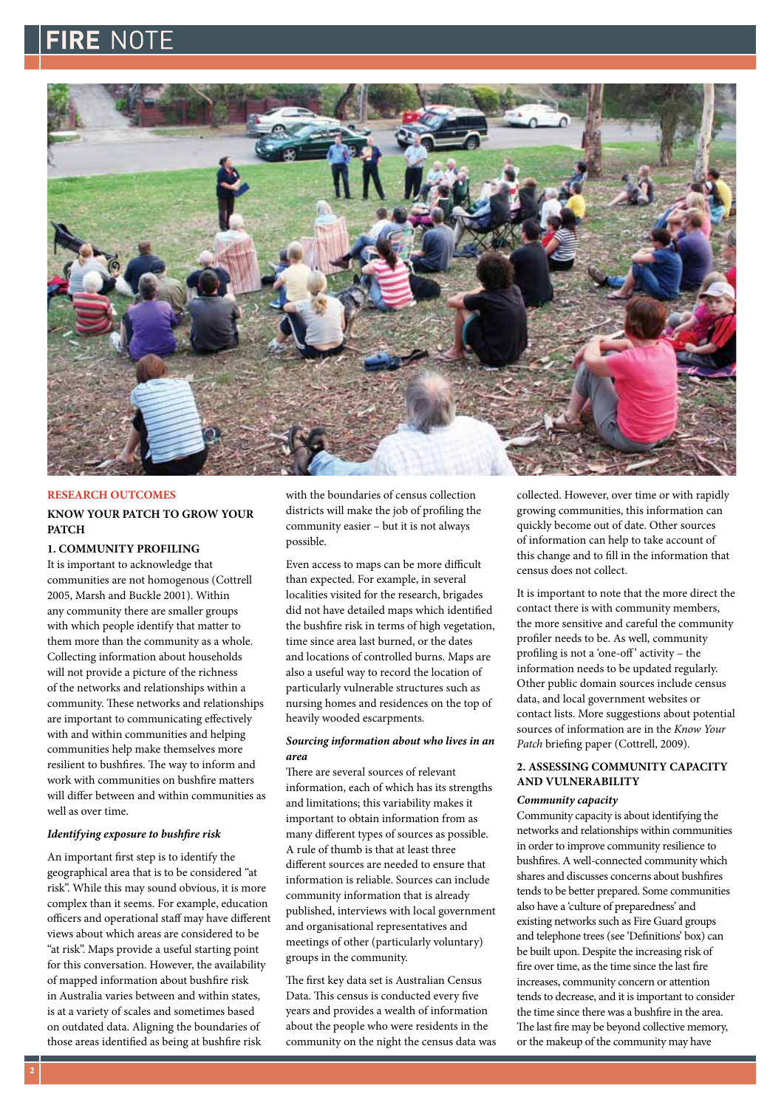## FIRE NOTF



#### **RESEARCH OUTCOMES**

#### **KNOW YOUR PATCH TO GROW YOUR PATCH**

#### **1. COMMUNITY PROFILING**

It is important to acknowledge that communities are not homogenous (Cottrell 2005, Marsh and Buckle 2001). Within any community there are smaller groups with which people identify that matter to them more than the community as a whole. Collecting information about households will not provide a picture of the richness of the networks and relationships within a community. These networks and relationships are important to communicating effectively with and within communities and helping communities help make themselves more resilient to bushfires. The way to inform and work with communities on bushfire matters will differ between and within communities as well as over time.

#### *Identifying exposure to bushfire risk*

An important first step is to identify the geographical area that is to be considered "at risk". While this may sound obvious, it is more complex than it seems. For example, education officers and operational staff may have different views about which areas are considered to be "at risk". Maps provide a useful starting point for this conversation. However, the availability of mapped information about bushfire risk in Australia varies between and within states, is at a variety of scales and sometimes based on outdated data. Aligning the boundaries of those areas identified as being at bushfire risk

with the boundaries of census collection districts will make the job of profiling the community easier – but it is not always possible.

Even access to maps can be more difficult than expected. For example, in several localities visited for the research, brigades did not have detailed maps which identified the bushfire risk in terms of high vegetation, time since area last burned, or the dates and locations of controlled burns. Maps are also a useful way to record the location of particularly vulnerable structures such as nursing homes and residences on the top of heavily wooded escarpments.

#### *Sourcing information about who lives in an area*

There are several sources of relevant information, each of which has its strengths and limitations; this variability makes it important to obtain information from as many different types of sources as possible. A rule of thumb is that at least three different sources are needed to ensure that information is reliable. Sources can include community information that is already published, interviews with local government and organisational representatives and meetings of other (particularly voluntary) groups in the community.

The first key data set is Australian Census Data. This census is conducted every five years and provides a wealth of information about the people who were residents in the community on the night the census data was

collected. However, over time or with rapidly growing communities, this information can quickly become out of date. Other sources of information can help to take account of this change and to fill in the information that census does not collect.

It is important to note that the more direct the contact there is with community members, the more sensitive and careful the community profiler needs to be. As well, community profiling is not a 'one-off ' activity – the information needs to be updated regularly. Other public domain sources include census data, and local government websites or contact lists. More suggestions about potential sources of information are in the *Know Your Patch* briefing paper (Cottrell, 2009).

#### **2. ASSESSING COMMUNITY CAPACITY AND VULNERABILITY**

#### *Community capacity*

Community capacity is about identifying the networks and relationships within communities in order to improve community resilience to bushfires. A well-connected community which shares and discusses concerns about bushfires tends to be better prepared. Some communities also have a 'culture of preparedness' and existing networks such as Fire Guard groups and telephone trees (see 'Definitions' box) can be built upon. Despite the increasing risk of fire over time, as the time since the last fire increases, community concern or attention tends to decrease, and it is important to consider the time since there was a bushfire in the area. The last fire may be beyond collective memory, or the makeup of the community may have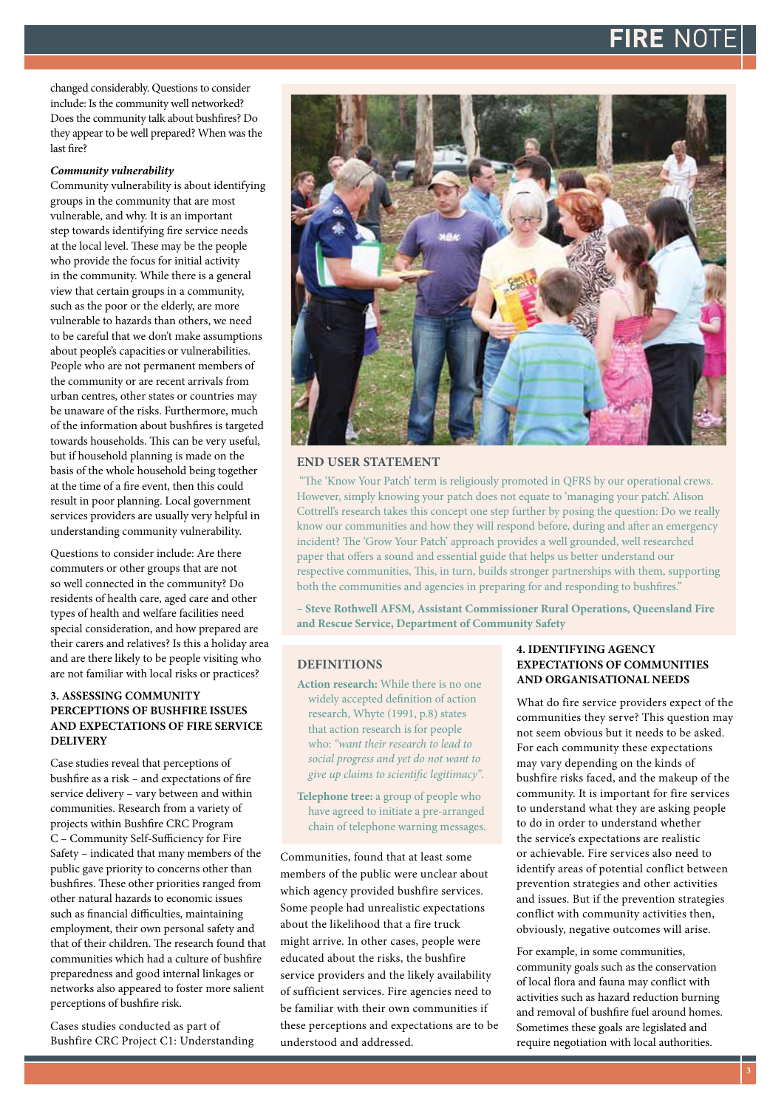## FIRF NO

changed considerably. Questions to consider include: Is the community well networked? Does the community talk about bushfires? Do they appear to be well prepared? When was the last fire?

#### *Community vulnerability*

Community vulnerability is about identifying groups in the community that are most vulnerable, and why. It is an important step towards identifying fire service needs at the local level. These may be the people who provide the focus for initial activity in the community. While there is a general view that certain groups in a community, such as the poor or the elderly, are more vulnerable to hazards than others, we need to be careful that we don't make assumptions about people's capacities or vulnerabilities. People who are not permanent members of the community or are recent arrivals from urban centres, other states or countries may be unaware of the risks. Furthermore, much of the information about bushfires is targeted towards households. This can be very useful, but if household planning is made on the basis of the whole household being together at the time of a fire event, then this could result in poor planning. Local government services providers are usually very helpful in understanding community vulnerability.

Questions to consider include: Are there commuters or other groups that are not so well connected in the community? Do residents of health care, aged care and other types of health and welfare facilities need special consideration, and how prepared are their carers and relatives? Is this a holiday area and are there likely to be people visiting who are not familiar with local risks or practices?

#### **3. ASSESSING COMMUNITY PERCEPTIONS OF BUSHFIRE ISSUES AND EXPECTATIONS OF FIRE SERVICE DELIVERY**

Case studies reveal that perceptions of bushfire as a risk – and expectations of fire service delivery – vary between and within communities. Research from a variety of projects within Bushfire CRC Program C – Community Self-Sufficiency for Fire Safety – indicated that many members of the public gave priority to concerns other than bushfires. These other priorities ranged from other natural hazards to economic issues such as financial difficulties, maintaining employment, their own personal safety and that of their children. The research found that communities which had a culture of bushfire preparedness and good internal linkages or networks also appeared to foster more salient perceptions of bushfire risk.

Cases studies conducted as part of Bushfire CRC Project C1: Understanding



#### **end user statement**

 "The 'Know Your Patch' term is religiously promoted in QFRS by our operational crews. However, simply knowing your patch does not equate to 'managing your patch'. Alison Cottrell's research takes this concept one step further by posing the question: Do we really know our communities and how they will respond before, during and after an emergency incident? The 'Grow Your Patch' approach provides a well grounded, well researched paper that offers a sound and essential guide that helps us better understand our respective communities, This, in turn, builds stronger partnerships with them, supporting both the communities and agencies in preparing for and responding to bushfires."

**– Steve Rothwell AFSM, Assistant Commissioner Rural Operations, Queensland Fire and Rescue Service, Department of Community Safety**

#### **DEFINITIONS**

**Action research:** While there is no one widely accepted definition of action research, Whyte (1991, p.8) states that action research is for people who: *"want their research to lead to social progress and yet do not want to give up claims to scientific legitimacy"*.

**Telephone tree:** a group of people who have agreed to initiate a pre-arranged chain of telephone warning messages.

Communities, found that at least some members of the public were unclear about which agency provided bushfire services. Some people had unrealistic expectations about the likelihood that a fire truck might arrive. In other cases, people were educated about the risks, the bushfire service providers and the likely availability of sufficient services. Fire agencies need to be familiar with their own communities if these perceptions and expectations are to be understood and addressed.

#### **4. IDENTIFYING AGENCY EXPECTATIONS OF COMMUNITIES AND ORGANISATIONAL NEEDS**

What do fire service providers expect of the communities they serve? This question may not seem obvious but it needs to be asked. For each community these expectations may vary depending on the kinds of bushfire risks faced, and the makeup of the community. It is important for fire services to understand what they are asking people to do in order to understand whether the service's expectations are realistic or achievable. Fire services also need to identify areas of potential conflict between prevention strategies and other activities and issues. But if the prevention strategies conflict with community activities then, obviously, negative outcomes will arise.

For example, in some communities, community goals such as the conservation of local flora and fauna may conflict with activities such as hazard reduction burning and removal of bushfire fuel around homes. Sometimes these goals are legislated and require negotiation with local authorities.